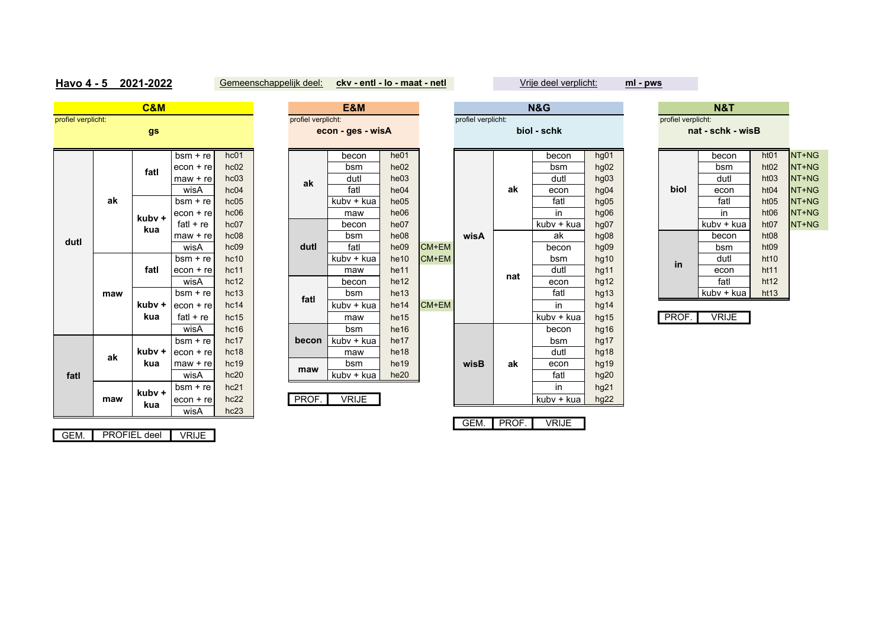## **Havo 4 - 5 2021-2022**

Gemeenschappelijk deel: **ckv - entl - lo - maat - netl** Vrije deel verplicht:

**ml - pws**

|                    |     | <b>C&amp;M</b>      |              |      |                    | E&M               |      |       | <b>N&amp;G</b>     |       |              |                  |  |                    |       |
|--------------------|-----|---------------------|--------------|------|--------------------|-------------------|------|-------|--------------------|-------|--------------|------------------|--|--------------------|-------|
| profiel verplicht: |     |                     |              |      | profiel verplicht: |                   |      |       | profiel verplicht: |       |              |                  |  | profiel verplicht: |       |
|                    |     | gs                  |              |      |                    | econ - ges - wisA |      |       |                    |       | biol - schk  |                  |  |                    | nat - |
|                    |     |                     |              |      |                    |                   |      |       |                    |       |              |                  |  |                    |       |
|                    |     |                     | $bsm + re$   | hc01 |                    | becon             | he01 |       |                    |       | becon        | hg01             |  |                    |       |
|                    |     | fatl                | $econ + re$  | hc02 |                    | bsm               | he02 |       |                    |       | bsm          | hg02             |  |                    |       |
|                    |     |                     | $max + re$   | hc03 | ak                 | dutl              | he03 |       |                    |       | dutl         | hg03             |  |                    |       |
|                    |     |                     | wisA         | hc04 |                    | fatl              | he04 |       |                    | ak    | econ         | hq04             |  | biol               |       |
|                    | ak  |                     | $bsm + re$   | hc05 |                    | kuby + kua        | he05 |       |                    |       | fatl         | hg05             |  |                    |       |
|                    |     | kubv +              | $econ + re$  | hc06 |                    | maw               | he06 |       |                    |       | in           | hg06             |  |                    |       |
|                    |     | kua                 | fat $l + re$ | hc07 |                    | becon             | he07 |       |                    |       | kubv + kua   | hg07             |  |                    | ku    |
| dutl               |     |                     | $max + re$   | hc08 |                    | bsm               | he08 |       | wisA               |       | ak           | hg08             |  |                    |       |
|                    |     |                     | wisA         | hc09 | dutl               | fatl              | he09 | CM+EM |                    |       | becon        | hg09             |  |                    |       |
|                    |     |                     | $bsm + re$   | hc10 |                    | kubv + kua        | he10 | CM+EM |                    |       | bsm          | hg10             |  | in                 |       |
|                    |     | fatl                | $econ + re$  | hc11 |                    | maw               | he11 |       |                    | nat   | dutl         | hg11             |  |                    |       |
|                    |     |                     | wisA         | hc12 |                    | becon             | he12 |       |                    |       | econ         | hg12             |  |                    |       |
|                    | maw |                     | $bsm + re$   | hc13 | fatl               | bsm               | he13 |       |                    |       | fatl         | hg13             |  |                    | ku    |
|                    |     | kubv +              | $econ + re$  | hc14 |                    | kubv + kua        | he14 | CM+EM |                    |       | in           | hg14             |  |                    |       |
|                    |     | kua                 | fatl $+$ re  | hc15 |                    | maw               | he15 |       |                    |       | kubv + kua   | hg15             |  | PROF.              |       |
|                    |     |                     | wisA         | hc16 |                    | bsm               | he16 |       |                    |       | becon        | hg16             |  |                    |       |
|                    |     |                     | $bsm + re$   | hc17 | becon              | kuby + kua        | he17 |       |                    |       | bsm          | hg17             |  |                    |       |
|                    | ak  | kubv +              | $econ + re$  | hc18 |                    | maw               | he18 |       |                    |       | dutl         | hg18             |  |                    |       |
|                    |     | kua                 | $maw + re$   | hc19 | maw                | bsm               | he19 |       | wisB               | ak    | econ         | hg19             |  |                    |       |
| fatl               |     |                     | wisA         | hc20 |                    | kubv + kua        | he20 |       |                    |       | fatl         | hg <sub>20</sub> |  |                    |       |
|                    |     | kubv +              | $bsm + re$   | hc21 |                    |                   |      |       |                    |       | in           | hg21             |  |                    |       |
|                    | maw | kua                 | $econ + re$  | hc22 | PROF.              | <b>VRIJE</b>      |      |       |                    |       | kubv + kua   | hg22             |  |                    |       |
|                    |     |                     | wisA         | hc23 |                    |                   |      |       |                    |       |              |                  |  |                    |       |
|                    |     |                     |              |      |                    |                   |      |       | GEM.               | PROF. | <b>VRIJE</b> |                  |  |                    |       |
| GEM.               |     | <b>PROFIEL deel</b> | <b>VRIJE</b> |      |                    |                   |      |       |                    |       |              |                  |  |                    |       |

| <b>C&amp;M</b>        |             |      |                    | E&M               |      |       | N&G                |     |             |      |  | <b>N&amp;T</b>     |                   |                  |  |
|-----------------------|-------------|------|--------------------|-------------------|------|-------|--------------------|-----|-------------|------|--|--------------------|-------------------|------------------|--|
|                       |             |      | profiel verplicht: | econ - ges - wisA |      |       | profiel verplicht: |     | biol - schk |      |  | profiel verplicht: | nat - schk - wisB |                  |  |
| gs                    |             |      |                    |                   |      |       |                    |     |             |      |  |                    |                   |                  |  |
|                       | $bsm + re$  | hc01 |                    | becon             | he01 |       |                    |     | becon       | hg01 |  |                    | becon             | ht01             |  |
| fatl                  | $econ + re$ | hc02 |                    | bsm               | he02 |       |                    |     | bsm         | hg02 |  |                    | bsm               | ht <sub>02</sub> |  |
|                       | $maw + re$  | hc03 | ak                 | dutl              | he03 |       |                    |     | dutl        | hg03 |  |                    | dutl              | ht <sub>03</sub> |  |
|                       | wisA        | hc04 |                    | fatl              | he04 |       |                    | ak  | econ        | hg04 |  | biol               | econ              | ht <sub>04</sub> |  |
|                       | $bsm + re$  | hc05 |                    | kuby + kua        | he05 |       |                    |     | fatl        | hg05 |  |                    | fatl              | ht <sub>05</sub> |  |
| ubv +                 | $econ + re$ | hc06 |                    | maw               | he06 |       |                    |     | in          | hg06 |  |                    | in                | ht06             |  |
|                       | $fatI + re$ | hc07 |                    | becon             | he07 |       |                    |     | kubv + kua  | hg07 |  |                    | kubv + kua        | ht07             |  |
| kua                   | $maw + re$  | hc08 |                    | bsm               | he08 |       | wisA               |     | ak          | hg08 |  |                    | becon             | ht08             |  |
|                       | wisA        | hc09 | dutl               | fatl              | he09 | CM+EM |                    |     | becon       | hg09 |  |                    | bsm               | ht <sub>09</sub> |  |
|                       | $bsm + re$  | hc10 |                    | kubv + kua        | he10 | CM+EM |                    |     | bsm         | hg10 |  | in.                | dutl              | ht <sub>10</sub> |  |
| fatl                  | $econ + re$ | hc11 |                    | maw               | he11 |       |                    |     | dutl        | hg11 |  |                    | econ              | ht11             |  |
|                       | wisA        | hc12 |                    | becon             | he12 |       |                    | nat | econ        | hg12 |  |                    | fatl              | ht12             |  |
|                       | $bsm + re$  | hc13 | fatl               | bsm               | he13 |       |                    |     | fatl        | hg13 |  |                    | kuby + kua        | ht13             |  |
| ubv +                 | $econ + re$ | hc14 |                    | kubv + kua        | he14 | CM+EM |                    |     | in          | hg14 |  |                    |                   |                  |  |
| kua                   | fatl $+$ re | hc15 |                    | maw               | he15 |       |                    |     | kubv + kua  | hg15 |  | PROF.              | <b>VRIJE</b>      |                  |  |
|                       | wisA        | hc16 |                    | bsm               | he16 |       |                    |     | becon       | hg16 |  |                    |                   |                  |  |
|                       | $bsm + re$  | hc17 | becon              | kuby + kua        | he17 |       |                    |     | bsm         | hg17 |  |                    |                   |                  |  |
| ubv +                 | $econ + re$ | hc18 |                    | maw               | he18 |       |                    |     | dutl        | hg18 |  |                    |                   |                  |  |
| kua                   | $max + re$  | hc19 |                    | bsm               | he19 |       | wisB               | ak  | econ        | hg19 |  |                    |                   |                  |  |
|                       | wisA        | hc20 | maw                | kubv + kua        | he20 |       |                    |     | fatl        | hg20 |  |                    |                   |                  |  |
|                       | $bsm + re$  | hc21 |                    |                   |      |       |                    |     | in          | hg21 |  |                    |                   |                  |  |
| ubv +<br>$\mathbf{r}$ | $econ + re$ | hc22 | PROF.              | <b>VRIJE</b>      |      |       |                    |     | kubv + kua  | hq22 |  |                    |                   |                  |  |

| ١M                       |      |       |                    |     | <b>N&amp;G</b> |      | <b>N&amp;T</b>     |                   |                  |
|--------------------------|------|-------|--------------------|-----|----------------|------|--------------------|-------------------|------------------|
| s - wisA                 |      |       | profiel verplicht: |     | biol - schk    |      | profiel verplicht: | nat - schk - wisB |                  |
|                          |      |       |                    |     |                |      |                    |                   |                  |
| on:                      | he01 |       |                    |     | becon          | hg01 |                    | becon             | ht01             |
| m                        | he02 |       |                    |     | bsm            | hg02 |                    | bsm               | ht <sub>02</sub> |
| ıtl                      | he03 |       |                    |     | dutl           | hg03 |                    | dutl              | ht03             |
| tl                       | he04 |       |                    | ak  | econ           | hg04 | biol               | econ              | ht <sub>04</sub> |
| + kua                    | he05 |       |                    |     | fatl           | hg05 |                    | fatl              | ht <sub>05</sub> |
| ١W                       | he06 |       |                    |     | in             | hg06 |                    | in                | ht <sub>06</sub> |
| :on                      | he07 |       |                    |     | kubv + kua     | hg07 |                    | kubv + kua        | ht07             |
| m                        | he08 |       | wisA               |     | ak             | hg08 |                    | becon             | ht08             |
| tl                       | he09 | CM+EM |                    |     | becon          | hg09 |                    | bsm               | ht <sub>09</sub> |
| + kua                    | he10 | CM+EM |                    |     | bsm            | hg10 | in                 | dutl              | ht <sub>10</sub> |
| ١W                       | he11 |       |                    | nat | dutl           | hg11 |                    | econ              | ht11             |
| :on                      | he12 |       |                    |     | econ           | hg12 |                    | fatl              | ht12             |
| m                        | he13 |       |                    |     | fatl           | hg13 |                    | kubv + kua        | ht <sub>13</sub> |
| + kua                    | he14 | CM+EM |                    |     | in             | hg14 |                    |                   |                  |
| w                        | he15 |       |                    |     | kubv + kua     | hg15 | PROF.              | <b>VRIJE</b>      |                  |
| m                        | he16 |       |                    |     | becon          | hg16 |                    |                   |                  |
| + kua                    | he17 |       |                    |     | bsm            | hg17 |                    |                   |                  |
| ١W                       | he18 |       |                    |     | dutl           | hg18 |                    |                   |                  |
| m                        | he19 |       | wisB               | ak  | econ           | hg19 |                    |                   |                  |
| <u>+ kua</u>             | he20 |       |                    |     | fatl           | hg20 |                    |                   |                  |
|                          |      |       |                    |     | in             | hg21 |                    |                   |                  |
| $\overline{\mathsf{UE}}$ |      |       |                    |     | kubv + kua     | hg22 |                    |                   |                  |
|                          |      |       |                    |     |                |      |                    |                   |                  |

| proner verplicity. |              |  |      | profier verplicity. |              |        |             |      | profier verplicity. |             |  |                   |            |                  |       |
|--------------------|--------------|--|------|---------------------|--------------|--------|-------------|------|---------------------|-------------|--|-------------------|------------|------------------|-------|
|                    |              |  |      | econ - ges - wisA   |              |        | biol - schk |      |                     |             |  | nat - schk - wisB |            |                  |       |
|                    |              |  |      |                     |              |        |             |      |                     |             |  |                   |            |                  |       |
| + re l             | hc01         |  |      | becon               | he01         |        |             |      | becon               | hg01        |  |                   | becon      | ht01             | NT+NG |
| + rel              | hc02         |  |      | bsm                 | he02         |        |             |      | bsm                 | hg02        |  |                   | bsm        | ht <sub>02</sub> | NT+NG |
| + re               | hc03         |  | ak   | dutl                | he03         |        |             |      | dutl                | hg03        |  |                   | dutl       | ht <sub>03</sub> | NT+NG |
| A                  | hc04         |  |      | fatl                | he04         |        |             | ak   | econ                | hq04        |  | biol              | econ       | ht04             | NT+NG |
| + re               | hc05         |  |      | kuby + kua          | he05         |        |             |      | fatl                | hg05        |  |                   | fatl       | ht05             | NT+NG |
| + re               | hc06         |  |      | maw                 | he06         |        |             |      | in                  | hq06        |  |                   | <i>in</i>  | ht <sub>06</sub> | NT+NG |
| re                 | hc07         |  |      | becon               | he07         |        |             |      | kubv + kua          | hg07        |  |                   | kuby + kua | ht07             | NT+NG |
| + re               | hc08         |  |      | bsm                 | he08         |        | wisA        |      | ak                  | hq08        |  |                   | becon      | ht08             |       |
| A                  | hc09         |  | dutl | fatl                | he09         | CM+EM  |             |      | becon               | hg09        |  |                   | bsm        | ht <sub>09</sub> |       |
| + re               | hc10         |  |      | kuby + kua          | he10         | CM+EM  |             |      | bsm                 | hg10        |  | in                | dutl       | ht10             |       |
| + re               | hc11         |  |      | maw                 | he11         |        |             | dutl | hg11                |             |  | econ              | ht11       |                  |       |
| A                  | hc12         |  |      | becon               | he12         |        |             | nat  | econ                | hg12        |  |                   | fatl       | ht12             |       |
| + re               | hc13         |  | fatl | bsm                 | he13         |        |             |      | fatl                | hg13        |  |                   | kubv + kua | ht13             |       |
| المعا              | $h \circ 11$ |  |      | kulay a kulo        | $h \circ 11$ | CMLENA |             |      | $\mathbf{m}$        | $h \sim 11$ |  |                   |            |                  |       |